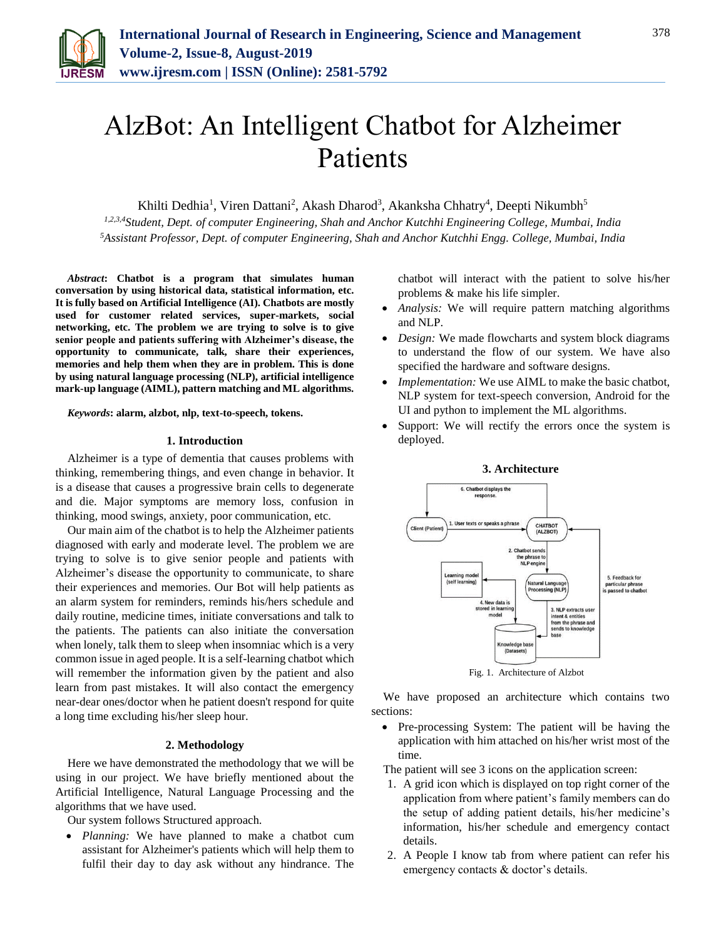

# AlzBot: An Intelligent Chatbot for Alzheimer Patients

Khilti Dedhia<sup>1</sup>, Viren Dattani<sup>2</sup>, Akash Dharod<sup>3</sup>, Akanksha Chhatry<sup>4</sup>, Deepti Nikumbh<sup>5</sup>

*1,2,3,4Student, Dept. of computer Engineering, Shah and Anchor Kutchhi Engineering College, Mumbai, India <sup>5</sup>Assistant Professor, Dept. of computer Engineering, Shah and Anchor Kutchhi Engg. College, Mumbai, India*

*Abstract***: Chatbot is a program that simulates human conversation by using historical data, statistical information, etc. It is fully based on Artificial Intelligence (AI). Chatbots are mostly used for customer related services, super-markets, social networking, etc. The problem we are trying to solve is to give senior people and patients suffering with Alzheimer's disease, the opportunity to communicate, talk, share their experiences, memories and help them when they are in problem. This is done by using natural language processing (NLP), artificial intelligence mark-up language (AIML), pattern matching and ML algorithms.**

*Keywords***: alarm, alzbot, nlp, text-to-speech, tokens.**

### **1. Introduction**

Alzheimer is a type of dementia that causes problems with thinking, remembering things, and even change in behavior. It is a disease that causes a progressive brain cells to degenerate and die. Major symptoms are memory loss, confusion in thinking, mood swings, anxiety, poor communication, etc.

Our main aim of the chatbot is to help the Alzheimer patients diagnosed with early and moderate level. The problem we are trying to solve is to give senior people and patients with Alzheimer's disease the opportunity to communicate, to share their experiences and memories. Our Bot will help patients as an alarm system for reminders, reminds his/hers schedule and daily routine, medicine times, initiate conversations and talk to the patients. The patients can also initiate the conversation when lonely, talk them to sleep when insomniac which is a very common issue in aged people. It is a self-learning chatbot which will remember the information given by the patient and also learn from past mistakes. It will also contact the emergency near-dear ones/doctor when he patient doesn't respond for quite a long time excluding his/her sleep hour.

## **2. Methodology**

Here we have demonstrated the methodology that we will be using in our project. We have briefly mentioned about the Artificial Intelligence, Natural Language Processing and the algorithms that we have used.

Our system follows Structured approach.

 *Planning:* We have planned to make a chatbot cum assistant for Alzheimer's patients which will help them to fulfil their day to day ask without any hindrance. The chatbot will interact with the patient to solve his/her problems & make his life simpler.

- *Analysis:* We will require pattern matching algorithms and NLP.
- *Design:* We made flowcharts and system block diagrams to understand the flow of our system. We have also specified the hardware and software designs.
- *Implementation:* We use AIML to make the basic chatbot, NLP system for text-speech conversion, Android for the UI and python to implement the ML algorithms.
- Support: We will rectify the errors once the system is deployed.

**3. Architecture**





We have proposed an architecture which contains two sections:

• Pre-processing System: The patient will be having the application with him attached on his/her wrist most of the time.

The patient will see 3 icons on the application screen:

- 1. A grid icon which is displayed on top right corner of the application from where patient's family members can do the setup of adding patient details, his/her medicine's information, his/her schedule and emergency contact details.
- 2. A People I know tab from where patient can refer his emergency contacts & doctor's details.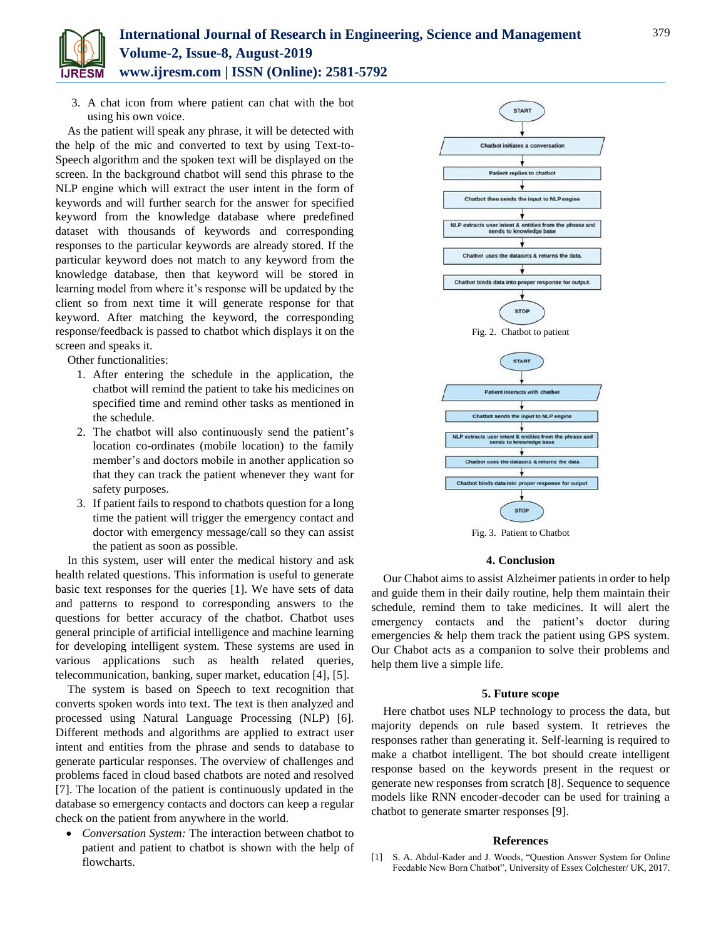

3. A chat icon from where patient can chat with the bot using his own voice.

As the patient will speak any phrase, it will be detected with the help of the mic and converted to text by using Text-to-Speech algorithm and the spoken text will be displayed on the screen. In the background chatbot will send this phrase to the NLP engine which will extract the user intent in the form of keywords and will further search for the answer for specified keyword from the knowledge database where predefined dataset with thousands of keywords and corresponding responses to the particular keywords are already stored. If the particular keyword does not match to any keyword from the knowledge database, then that keyword will be stored in learning model from where it's response will be updated by the client so from next time it will generate response for that keyword. After matching the keyword, the corresponding response/feedback is passed to chatbot which displays it on the screen and speaks it.

Other functionalities:

- 1. After entering the schedule in the application, the chatbot will remind the patient to take his medicines on specified time and remind other tasks as mentioned in the schedule.
- 2. The chatbot will also continuously send the patient's location co-ordinates (mobile location) to the family member's and doctors mobile in another application so that they can track the patient whenever they want for safety purposes.
- 3. If patient fails to respond to chatbots question for a long time the patient will trigger the emergency contact and doctor with emergency message/call so they can assist the patient as soon as possible.

In this system, user will enter the medical history and ask health related questions. This information is useful to generate basic text responses for the queries [1]. We have sets of data and patterns to respond to corresponding answers to the questions for better accuracy of the chatbot. Chatbot uses general principle of artificial intelligence and machine learning for developing intelligent system. These systems are used in various applications such as health related queries, telecommunication, banking, super market, education [4], [5].

The system is based on Speech to text recognition that converts spoken words into text. The text is then analyzed and processed using Natural Language Processing (NLP) [6]. Different methods and algorithms are applied to extract user intent and entities from the phrase and sends to database to generate particular responses. The overview of challenges and problems faced in cloud based chatbots are noted and resolved [7]. The location of the patient is continuously updated in the database so emergency contacts and doctors can keep a regular check on the patient from anywhere in the world.

 *Conversation System:* The interaction between chatbot to patient and patient to chatbot is shown with the help of flowcharts.



Fig. 3. Patient to Chatbot

## **4. Conclusion**

Our Chabot aims to assist Alzheimer patients in order to help and guide them in their daily routine, help them maintain their schedule, remind them to take medicines. It will alert the emergency contacts and the patient's doctor during emergencies & help them track the patient using GPS system. Our Chabot acts as a companion to solve their problems and help them live a simple life.

### **5. Future scope**

Here chatbot uses NLP technology to process the data, but majority depends on rule based system. It retrieves the responses rather than generating it. Self-learning is required to make a chatbot intelligent. The bot should create intelligent response based on the keywords present in the request or generate new responses from scratch [8]. Sequence to sequence models like RNN encoder-decoder can be used for training a chatbot to generate smarter responses [9].

#### **References**

[1] S. A. Abdul-Kader and J. Woods, "Question Answer System for Online Feedable New Born Chatbot", University of Essex Colchester/ UK, 2017.